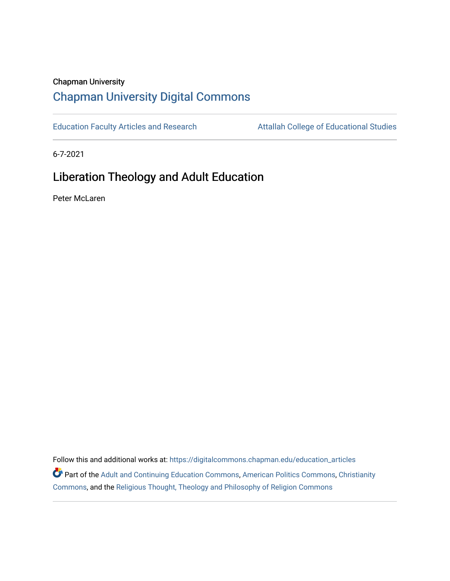## Chapman University [Chapman University Digital Commons](https://digitalcommons.chapman.edu/)

[Education Faculty Articles and Research](https://digitalcommons.chapman.edu/education_articles) Attallah College of Educational Studies

6-7-2021

# Liberation Theology and Adult Education

Peter McLaren

Follow this and additional works at: [https://digitalcommons.chapman.edu/education\\_articles](https://digitalcommons.chapman.edu/education_articles?utm_source=digitalcommons.chapman.edu%2Feducation_articles%2F301&utm_medium=PDF&utm_campaign=PDFCoverPages) Part of the [Adult and Continuing Education Commons,](http://network.bepress.com/hgg/discipline/1375?utm_source=digitalcommons.chapman.edu%2Feducation_articles%2F301&utm_medium=PDF&utm_campaign=PDFCoverPages) [American Politics Commons,](http://network.bepress.com/hgg/discipline/387?utm_source=digitalcommons.chapman.edu%2Feducation_articles%2F301&utm_medium=PDF&utm_campaign=PDFCoverPages) [Christianity](http://network.bepress.com/hgg/discipline/1181?utm_source=digitalcommons.chapman.edu%2Feducation_articles%2F301&utm_medium=PDF&utm_campaign=PDFCoverPages)  [Commons](http://network.bepress.com/hgg/discipline/1181?utm_source=digitalcommons.chapman.edu%2Feducation_articles%2F301&utm_medium=PDF&utm_campaign=PDFCoverPages), and the [Religious Thought, Theology and Philosophy of Religion Commons](http://network.bepress.com/hgg/discipline/544?utm_source=digitalcommons.chapman.edu%2Feducation_articles%2F301&utm_medium=PDF&utm_campaign=PDFCoverPages)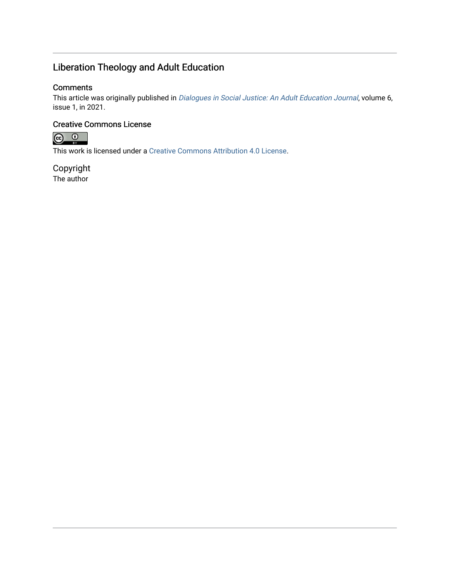# Liberation Theology and Adult Education

#### **Comments**

This article was originally published in [Dialogues in Social Justice: An Adult Education Journal](https://journals.uncc.edu/dsj/article/view/1291), volume 6, issue 1, in 2021.

#### Creative Commons License



This work is licensed under a [Creative Commons Attribution 4.0 License](https://creativecommons.org/licenses/by/4.0/).

Copyright The author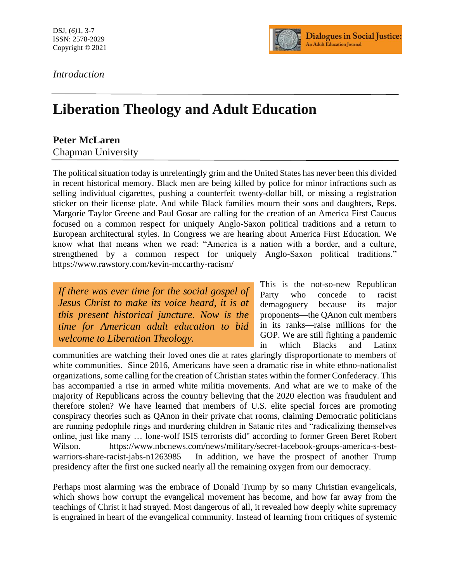*Introduction*



# **Liberation Theology and Adult Education**

## **Peter McLaren**

Chapman University

The political situation today is unrelentingly grim and the United States has never been this divided in recent historical memory. Black men are being killed by police for minor infractions such as selling individual cigarettes, pushing a counterfeit twenty-dollar bill, or missing a registration sticker on their license plate. And while Black families mourn their sons and daughters, Reps. Margorie Taylor Greene and Paul Gosar are calling for the creation of an America First Caucus focused on a common respect for uniquely Anglo-Saxon political traditions and a return to European architectural styles. In Congress we are hearing about America First Education. We know what that means when we read: "America is a nation with a border, and a culture, strengthened by a common respect for uniquely Anglo-Saxon political traditions." https://www.rawstory.com/kevin-mccarthy-racism/

*If there was ever time for the social gospel of Jesus Christ to make its voice heard, it is at this present historical juncture. Now is the time for American adult education to bid welcome to Liberation Theology.*

This is the not-so-new Republican Party who concede to racist demagoguery because its major proponents—the QAnon cult members in its ranks—raise millions for the GOP. We are still fighting a pandemic in which Blacks and Latinx

communities are watching their loved ones die at rates glaringly disproportionate to members of white communities. Since 2016, Americans have seen a dramatic rise in white ethno-nationalist organizations, some calling for the creation of Christian states within the former Confederacy. This has accompanied a rise in armed white militia movements. And what are we to make of the majority of Republicans across the country believing that the 2020 election was fraudulent and therefore stolen? We have learned that members of U.S. elite special forces are promoting conspiracy theories such as QAnon in their private chat rooms, claiming Democratic politicians are running pedophile rings and murdering children in Satanic rites and "radicalizing themselves online, just like many … lone-wolf ISIS terrorists did" according to former Green Beret Robert Wilson. https://www.nbcnews.com/news/military/secret-facebook-groups-america-s-bestwarriors-share-racist-jabs-n1263985 In addition, we have the prospect of another Trump presidency after the first one sucked nearly all the remaining oxygen from our democracy.

Perhaps most alarming was the embrace of Donald Trump by so many Christian evangelicals, which shows how corrupt the evangelical movement has become, and how far away from the teachings of Christ it had strayed. Most dangerous of all, it revealed how deeply white supremacy is engrained in heart of the evangelical community. Instead of learning from critiques of systemic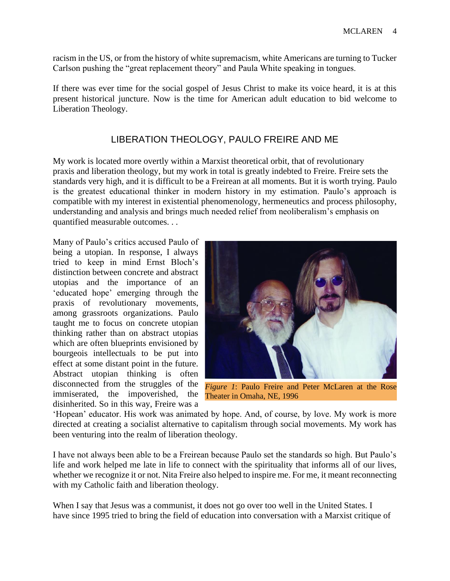racism in the US, or from the history of white supremacism, white Americans are turning to Tucker Carlson pushing the "great replacement theory" and Paula White speaking in tongues.

If there was ever time for the social gospel of Jesus Christ to make its voice heard, it is at this present historical juncture. Now is the time for American adult education to bid welcome to Liberation Theology.

## LIBERATION THEOLOGY, PAULO FREIRE AND ME

My work is located more overtly within a Marxist theoretical orbit, that of revolutionary praxis and liberation theology, but my work in total is greatly indebted to Freire. Freire sets the standards very high, and it is difficult to be a Freirean at all moments. But it is worth trying. Paulo is the greatest educational thinker in modern history in my estimation. Paulo's approach is compatible with my interest in existential phenomenology, hermeneutics and process philosophy, understanding and analysis and brings much needed relief from neoliberalism's emphasis on quantified measurable outcomes. . .

Many of Paulo's critics accused Paulo of being a utopian. In response, I always tried to keep in mind Ernst Bloch's distinction between concrete and abstract utopias and the importance of an 'educated hope' emerging through the praxis of revolutionary movements, among grassroots organizations. Paulo taught me to focus on concrete utopian thinking rather than on abstract utopias which are often blueprints envisioned by bourgeois intellectuals to be put into effect at some distant point in the future. Abstract utopian thinking is often disconnected from the struggles of the immiserated, the impoverished, the disinherited. So in this way, Freire was a



*Figure 1*: Paulo Freire and Peter McLaren at the Rose Theater in Omaha, NE, 1996

'Hopean' educator. His work was animated by hope. And, of course, by love. My work is more directed at creating a socialist alternative to capitalism through social movements. My work has been venturing into the realm of liberation theology.

I have not always been able to be a Freirean because Paulo set the standards so high. But Paulo's life and work helped me late in life to connect with the spirituality that informs all of our lives, whether we recognize it or not. Nita Freire also helped to inspire me. For me, it meant reconnecting with my Catholic faith and liberation theology.

When I say that Jesus was a communist, it does not go over too well in the United States. I have since 1995 tried to bring the field of education into conversation with a Marxist critique of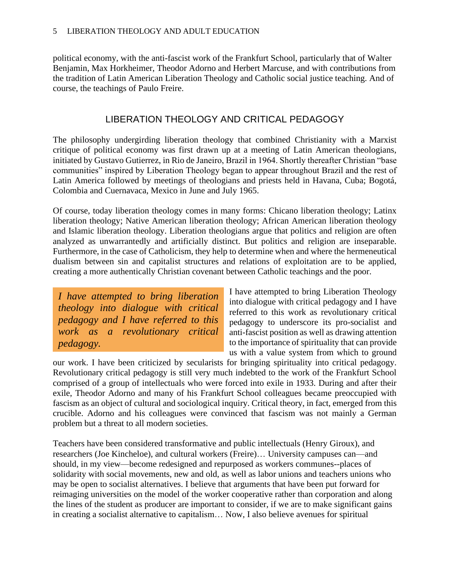political economy, with the anti-fascist work of the Frankfurt School, particularly that of Walter Benjamin, Max Horkheimer, Theodor Adorno and Herbert Marcuse, and with contributions from the tradition of Latin American Liberation Theology and Catholic social justice teaching. And of course, the teachings of Paulo Freire.

## LIBERATION THEOLOGY AND CRITICAL PEDAGOGY

The philosophy undergirding liberation theology that combined Christianity with a Marxist critique of political economy was first drawn up at a meeting of Latin American theologians, initiated by Gustavo Gutierrez, in Rio de Janeiro, Brazil in 1964. Shortly thereafter Christian "base communities" inspired by Liberation Theology began to appear throughout Brazil and the rest of Latin America followed by meetings of theologians and priests held in Havana, Cuba; Bogotá, Colombia and Cuernavaca, Mexico in June and July 1965.

Of course, today liberation theology comes in many forms: Chicano liberation theology; Latinx liberation theology; Native American liberation theology; African American liberation theology and Islamic liberation theology. Liberation theologians argue that politics and religion are often analyzed as unwarrantedly and artificially distinct. But politics and religion are inseparable. Furthermore, in the case of Catholicism, they help to determine when and where the hermeneutical dualism between sin and capitalist structures and relations of exploitation are to be applied, creating a more authentically Christian covenant between Catholic teachings and the poor.

*I have attempted to bring liberation theology into dialogue with critical pedagogy and I have referred to this work as a revolutionary critical pedagogy.*

I have attempted to bring Liberation Theology into dialogue with critical pedagogy and I have referred to this work as revolutionary critical pedagogy to underscore its pro-socialist and anti-fascist position as well as drawing attention to the importance of spirituality that can provide us with a value system from which to ground

our work. I have been criticized by secularists for bringing spirituality into critical pedagogy. Revolutionary critical pedagogy is still very much indebted to the work of the Frankfurt School comprised of a group of intellectuals who were forced into exile in 1933. During and after their exile, Theodor Adorno and many of his Frankfurt School colleagues became preoccupied with fascism as an object of cultural and sociological inquiry. Critical theory, in fact, emerged from this crucible. Adorno and his colleagues were convinced that fascism was not mainly a German problem but a threat to all modern societies.

Teachers have been considered transformative and public intellectuals (Henry Giroux), and researchers (Joe Kincheloe), and cultural workers (Freire)… University campuses can—and should, in my view—become redesigned and repurposed as workers communes--places of solidarity with social movements, new and old, as well as labor unions and teachers unions who may be open to socialist alternatives. I believe that arguments that have been put forward for reimaging universities on the model of the worker cooperative rather than corporation and along the lines of the student as producer are important to consider, if we are to make significant gains in creating a socialist alternative to capitalism… Now, I also believe avenues for spiritual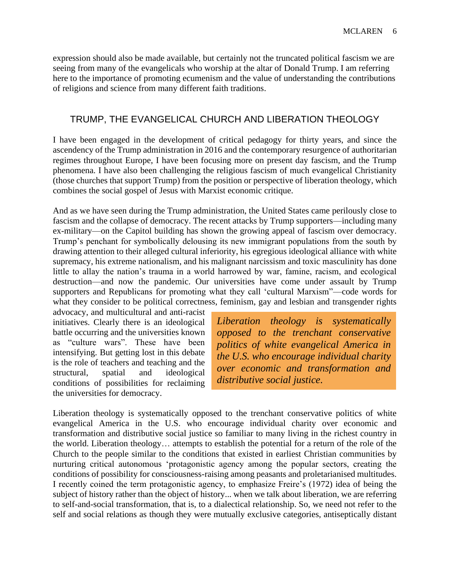expression should also be made available, but certainly not the truncated political fascism we are seeing from many of the evangelicals who worship at the altar of Donald Trump. I am referring here to the importance of promoting ecumenism and the value of understanding the contributions of religions and science from many different faith traditions.

#### TRUMP, THE EVANGELICAL CHURCH AND LIBERATION THEOLOGY

I have been engaged in the development of critical pedagogy for thirty years, and since the ascendency of the Trump administration in 2016 and the contemporary resurgence of authoritarian regimes throughout Europe, I have been focusing more on present day fascism, and the Trump phenomena. I have also been challenging the religious fascism of much evangelical Christianity (those churches that support Trump) from the position or perspective of liberation theology, which combines the social gospel of Jesus with Marxist economic critique.

And as we have seen during the Trump administration, the United States came perilously close to fascism and the collapse of democracy. The recent attacks by Trump supporters—including many ex-military—on the Capitol building has shown the growing appeal of fascism over democracy. Trump's penchant for symbolically delousing its new immigrant populations from the south by drawing attention to their alleged cultural inferiority, his egregious ideological alliance with white supremacy, his extreme nationalism, and his malignant narcissism and toxic masculinity has done little to allay the nation's trauma in a world harrowed by war, famine, racism, and ecological destruction—and now the pandemic. Our universities have come under assault by Trump supporters and Republicans for promoting what they call 'cultural Marxism"—code words for what they consider to be political correctness, feminism, gay and lesbian and transgender rights

advocacy, and multicultural and anti-racist initiatives. Clearly there is an ideological battle occurring and the universities known as "culture wars". These have been intensifying. But getting lost in this debate is the role of teachers and teaching and the structural, spatial and ideological conditions of possibilities for reclaiming the universities for democracy.

*Liberation theology is systematically opposed to the trenchant conservative politics of white evangelical America in the U.S. who encourage individual charity over economic and transformation and distributive social justice.*

Liberation theology is systematically opposed to the trenchant conservative politics of white evangelical America in the U.S. who encourage individual charity over economic and transformation and distributive social justice so familiar to many living in the richest country in the world. Liberation theology… attempts to establish the potential for a return of the role of the Church to the people similar to the conditions that existed in earliest Christian communities by nurturing critical autonomous 'protagonistic agency among the popular sectors, creating the conditions of possibility for consciousness-raising among peasants and proletarianised multitudes. I recently coined the term protagonistic agency, to emphasize Freire's (1972) idea of being the subject of history rather than the object of history... when we talk about liberation, we are referring to self-and-social transformation, that is, to a dialectical relationship. So, we need not refer to the self and social relations as though they were mutually exclusive categories, antiseptically distant